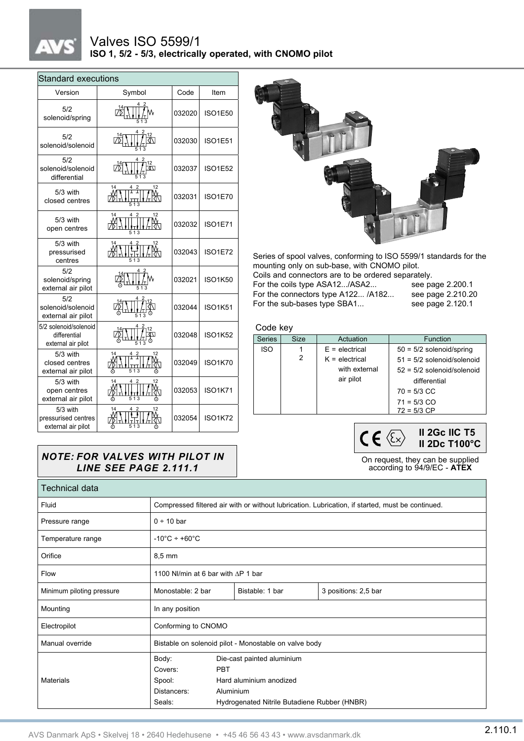## $_{\star}$

## Valves ISO 5599/1 **ISO 1, 5/2 - 5/3, electrically operated, with CNOMO pilot**

| <b>Standard executions</b>                                  |                                               |        |                |  |  |  |  |  |
|-------------------------------------------------------------|-----------------------------------------------|--------|----------------|--|--|--|--|--|
| Version                                                     | Symbol                                        | Code   | Item           |  |  |  |  |  |
| 5/2<br>solenoid/spring                                      |                                               | 032020 | <b>ISO1E50</b> |  |  |  |  |  |
| 5/2<br>solenoid/solenoid                                    | 513                                           | 032030 | ISO1E51        |  |  |  |  |  |
| 5/2<br>solenoid/solenoid<br>differential                    | 12<br>কো<br>513                               | 032037 | <b>ISO1E52</b> |  |  |  |  |  |
| 5/3 with<br>closed centres                                  | 14<br>$\frac{4}{1}$ $\frac{2}{1}$<br>12<br>13 | 032031 | <b>ISO1E70</b> |  |  |  |  |  |
| $5/3$ with<br>open centres                                  | 12<br>513                                     | 032032 | ISO1E71        |  |  |  |  |  |
| 5/3 with<br>pressurised<br>centres                          | 12<br>14<br>513                               | 032043 | ISO1E72        |  |  |  |  |  |
| 5/2<br>solenoid/spring<br>external air pilot                |                                               | 032021 | <b>ISO1K50</b> |  |  |  |  |  |
| 5/2<br>solenoid/solenoid<br>external air pilot              |                                               | 032044 | <b>ISO1K51</b> |  |  |  |  |  |
| 5/2 solenoid/solenoid<br>differential<br>external air pilot | 513                                           | 032048 | <b>ISO1K52</b> |  |  |  |  |  |
| $5/3$ with<br>closed centres<br>external air pilot          | 14<br>12<br>$\frac{2}{1}$<br>513              | 032049 | <b>ISO1K70</b> |  |  |  |  |  |
| 5/3 with<br>open centres<br>external air pilot              | 12                                            | 032053 | <b>ISO1K71</b> |  |  |  |  |  |
| $5/3$ with<br>pressurised centres<br>external air pilot     | 12<br>13                                      | 032054 | <b>ISO1K72</b> |  |  |  |  |  |



Series of spool valves, conforming to ISO 5599/1 standards for the mounting only on sub-base, with CNOMO pilot.

| Coils and connectors are to be ordered separately. |                   |  |  |  |
|----------------------------------------------------|-------------------|--|--|--|
| For the coils type ASA12/ASA2                      | see page 2.200.1  |  |  |  |
| For the connectors type A122 /A182                 | see page 2.210.20 |  |  |  |
| For the sub-bases type SBA1                        | see page 2.120.1  |  |  |  |

Code key

| <b>Series</b> | <b>Size</b> | Actuation        | <b>Function</b>              |
|---------------|-------------|------------------|------------------------------|
| <b>ISO</b>    |             | $E =$ electrical | $50 = 5/2$ solenoid/spring   |
|               | 2           | $K =$ electrical | $51 = 5/2$ solenoid/solenoid |
|               |             | with external    | $52 = 5/2$ solenoid/solenoid |
|               |             | air pilot        | differential                 |
|               |             |                  | $70 = 5/3$ CC                |
|               |             |                  | $71 = 5/3$ CO                |
|               |             |                  | $72 = 5/3$ CP                |
|               |             |                  |                              |

**II 2Gc IIC T5**  $CE \otimes$ **II 2Dc T100°C**

On request, they can be supplied according to 94/9/EC - **ATEX**

## *NOTE: FOR VALVES WITH PILOT IN LINE SEE PAGE 2.111.1*

| Technical data            |                                                                                                  |                                                                                                                                  |                 |                      |  |  |
|---------------------------|--------------------------------------------------------------------------------------------------|----------------------------------------------------------------------------------------------------------------------------------|-----------------|----------------------|--|--|
| Fluid                     | Compressed filtered air with or without lubrication. Lubrication, if started, must be continued. |                                                                                                                                  |                 |                      |  |  |
| Pressure range            | $0 \div 10$ bar                                                                                  |                                                                                                                                  |                 |                      |  |  |
| Temperature range         | $-10^{\circ}$ C ÷ +60 $^{\circ}$ C                                                               |                                                                                                                                  |                 |                      |  |  |
| Orifice                   | $8.5 \text{ mm}$                                                                                 |                                                                                                                                  |                 |                      |  |  |
| Flow                      | 1100 NI/min at 6 bar with $\Delta P$ 1 bar                                                       |                                                                                                                                  |                 |                      |  |  |
| Minimum piloting pressure | Monostable: 2 bar                                                                                |                                                                                                                                  | Bistable: 1 bar | 3 positions: 2,5 bar |  |  |
| Mounting                  | In any position                                                                                  |                                                                                                                                  |                 |                      |  |  |
| Electropilot              | Conforming to CNOMO                                                                              |                                                                                                                                  |                 |                      |  |  |
| Manual override           | Bistable on solenoid pilot - Monostable on valve body                                            |                                                                                                                                  |                 |                      |  |  |
| Materials                 | Body:<br>Covers:<br>Spool:<br>Distancers:<br>Seals:                                              | Die-cast painted aluminium<br><b>PBT</b><br>Hard aluminium anodized<br>Aluminium<br>Hydrogenated Nitrile Butadiene Rubber (HNBR) |                 |                      |  |  |